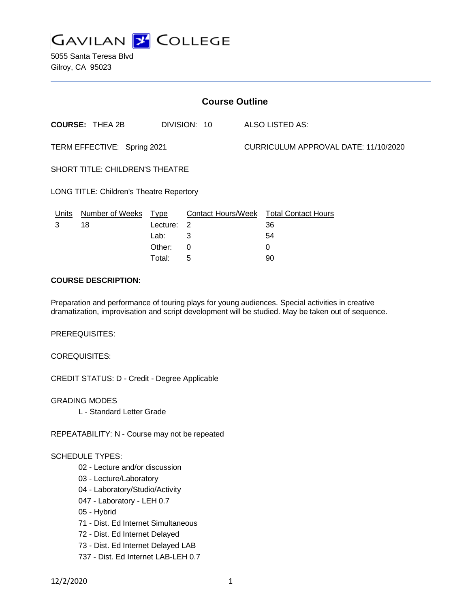

5055 Santa Teresa Blvd Gilroy, CA 95023

| <b>Course Outline</b>                           |             |   |                            |                                      |  |
|-------------------------------------------------|-------------|---|----------------------------|--------------------------------------|--|
| <b>COURSE: THEA 2B</b>                          |             |   |                            | <b>ALSO LISTED AS:</b>               |  |
| TERM EFFECTIVE: Spring 2021                     |             |   |                            | CURRICULUM APPROVAL DATE: 11/10/2020 |  |
| <b>SHORT TITLE: CHILDREN'S THEATRE</b>          |             |   |                            |                                      |  |
| <b>LONG TITLE: Children's Theatre Repertory</b> |             |   |                            |                                      |  |
| Number of Weeks                                 | <u>Type</u> |   |                            | <b>Total Contact Hours</b>           |  |
| 18                                              |             |   |                            | 36                                   |  |
|                                                 | Lab:        | 3 |                            | 54                                   |  |
|                                                 | Other:      | 0 |                            | $\Omega$                             |  |
|                                                 |             |   | DIVISION: 10<br>Lecture: 2 | <b>Contact Hours/Week</b>            |  |

## **COURSE DESCRIPTION:**

Preparation and performance of touring plays for young audiences. Special activities in creative dramatization, improvisation and script development will be studied. May be taken out of sequence.

Total: 5 90

PREREQUISITES:

COREQUISITES:

CREDIT STATUS: D - Credit - Degree Applicable

GRADING MODES L - Standard Letter Grade

REPEATABILITY: N - Course may not be repeated

#### SCHEDULE TYPES:

- 02 Lecture and/or discussion
- 03 Lecture/Laboratory
- 04 Laboratory/Studio/Activity
- 047 Laboratory LEH 0.7
- 05 Hybrid
- 71 Dist. Ed Internet Simultaneous
- 72 Dist. Ed Internet Delayed
- 73 Dist. Ed Internet Delayed LAB
- 737 Dist. Ed Internet LAB-LEH 0.7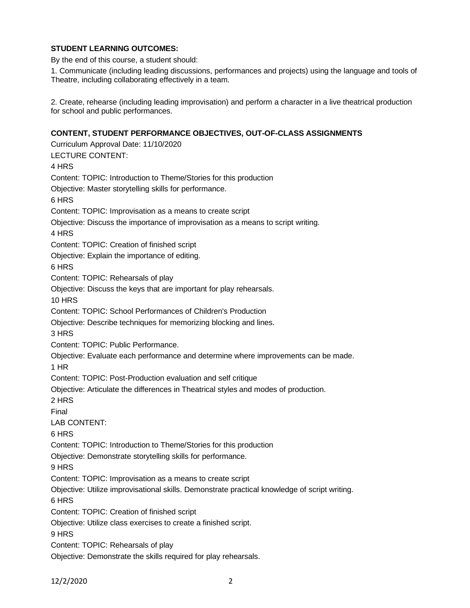## **STUDENT LEARNING OUTCOMES:**

By the end of this course, a student should:

1. Communicate (including leading discussions, performances and projects) using the language and tools of Theatre, including collaborating effectively in a team.

2. Create, rehearse (including leading improvisation) and perform a character in a live theatrical production for school and public performances.

## **CONTENT, STUDENT PERFORMANCE OBJECTIVES, OUT-OF-CLASS ASSIGNMENTS**

Curriculum Approval Date: 11/10/2020 LECTURE CONTENT: 4 HRS Content: TOPIC: Introduction to Theme/Stories for this production Objective: Master storytelling skills for performance. 6 HRS Content: TOPIC: Improvisation as a means to create script Objective: Discuss the importance of improvisation as a means to script writing. 4 HRS Content: TOPIC: Creation of finished script Objective: Explain the importance of editing. 6 HRS Content: TOPIC: Rehearsals of play Objective: Discuss the keys that are important for play rehearsals. 10 HRS Content: TOPIC: School Performances of Children's Production Objective: Describe techniques for memorizing blocking and lines. 3 HRS Content: TOPIC: Public Performance. Objective: Evaluate each performance and determine where improvements can be made. 1 HR Content: TOPIC: Post-Production evaluation and self critique Objective: Articulate the differences in Theatrical styles and modes of production. 2 HRS Final LAB CONTENT: 6 HRS Content: TOPIC: Introduction to Theme/Stories for this production Objective: Demonstrate storytelling skills for performance. 9 HRS Content: TOPIC: Improvisation as a means to create script Objective: Utilize improvisational skills. Demonstrate practical knowledge of script writing. 6 HRS Content: TOPIC: Creation of finished script Objective: Utilize class exercises to create a finished script. 9 HRS Content: TOPIC: Rehearsals of play Objective: Demonstrate the skills required for play rehearsals.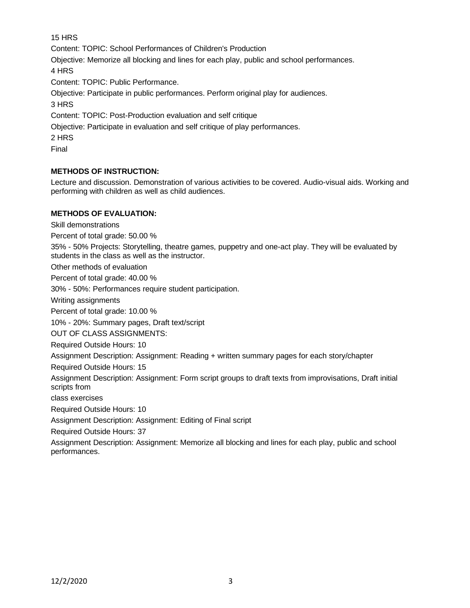15 HRS

Content: TOPIC: School Performances of Children's Production

Objective: Memorize all blocking and lines for each play, public and school performances.

4 HRS

Content: TOPIC: Public Performance.

Objective: Participate in public performances. Perform original play for audiences.

3 HRS

Content: TOPIC: Post-Production evaluation and self critique

Objective: Participate in evaluation and self critique of play performances.

2 HRS

Final

# **METHODS OF INSTRUCTION:**

Lecture and discussion. Demonstration of various activities to be covered. Audio-visual aids. Working and performing with children as well as child audiences.

## **METHODS OF EVALUATION:**

Skill demonstrations

Percent of total grade: 50.00 %

35% - 50% Projects: Storytelling, theatre games, puppetry and one-act play. They will be evaluated by students in the class as well as the instructor.

Other methods of evaluation

Percent of total grade: 40.00 %

30% - 50%: Performances require student participation.

Writing assignments

Percent of total grade: 10.00 %

10% - 20%: Summary pages, Draft text/script

OUT OF CLASS ASSIGNMENTS:

Required Outside Hours: 10

Assignment Description: Assignment: Reading + written summary pages for each story/chapter

Required Outside Hours: 15

Assignment Description: Assignment: Form script groups to draft texts from improvisations, Draft initial scripts from

class exercises

Required Outside Hours: 10

Assignment Description: Assignment: Editing of Final script

Required Outside Hours: 37

Assignment Description: Assignment: Memorize all blocking and lines for each play, public and school performances.